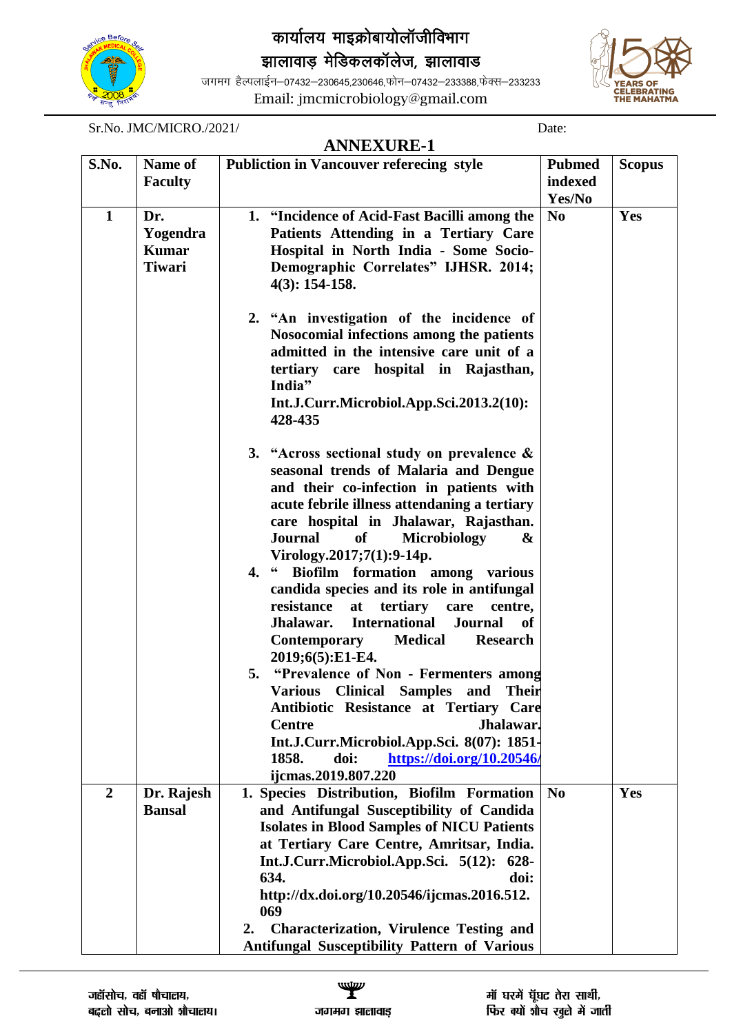

## *कार्यालय माइक्रोबायोलॉजीविभाग*

झालावाड़ मेडिकलकॉलेज, झालावाड

जगमग हैल्पलाईन–07432–230645,230646,फोन–07432–233388,फेक्स–233233 Email: jmcmicrobiology@gmail.com



Sr.No. JMC/MICRO./2021/ Date:

|                |                | <b>ANNEXURE-1</b>                                                                         |                        |               |
|----------------|----------------|-------------------------------------------------------------------------------------------|------------------------|---------------|
| S.No.          | Name of        | <b>Publiction in Vancouver referecing style</b>                                           | <b>Pubmed</b>          | <b>Scopus</b> |
|                | <b>Faculty</b> |                                                                                           | indexed                |               |
|                |                |                                                                                           | Yes/No                 |               |
| $\mathbf{1}$   | Dr.            | 1. "Incidence of Acid-Fast Bacilli among the                                              | N <sub>0</sub>         | Yes           |
|                | Yogendra       | Patients Attending in a Tertiary Care                                                     |                        |               |
|                | <b>Kumar</b>   | Hospital in North India - Some Socio-                                                     |                        |               |
|                | <b>Tiwari</b>  | Demographic Correlates" IJHSR. 2014;<br>$4(3): 154-158.$                                  |                        |               |
|                |                | 2. "An investigation of the incidence of                                                  |                        |               |
|                |                | Nosocomial infections among the patients                                                  |                        |               |
|                |                | admitted in the intensive care unit of a                                                  |                        |               |
|                |                | tertiary care hospital in Rajasthan,<br>India"                                            |                        |               |
|                |                | Int.J.Curr.Microbiol.App.Sci.2013.2(10):<br>428-435                                       |                        |               |
|                |                | 3. "Across sectional study on prevalence $\&$                                             |                        |               |
|                |                | seasonal trends of Malaria and Dengue                                                     |                        |               |
|                |                | and their co-infection in patients with                                                   |                        |               |
|                |                | acute febrile illness attendaning a tertiary                                              |                        |               |
|                |                | care hospital in Jhalawar, Rajasthan.<br><b>Journal</b><br><b>of</b><br>Microbiology<br>& |                        |               |
|                |                | Virology.2017;7(1):9-14p.                                                                 |                        |               |
|                |                | 4. " Biofilm formation among various                                                      |                        |               |
|                |                | candida species and its role in antifungal                                                |                        |               |
|                |                | tertiary<br>resistance<br>at<br>care<br>centre,                                           |                        |               |
|                |                | <b>International</b><br>Journal<br>Jhalawar.<br>of                                        |                        |               |
|                |                | <b>Medical</b><br><b>Research</b><br>Contemporary                                         |                        |               |
|                |                | 2019;6(5):E1-E4.                                                                          |                        |               |
|                |                | 5. "Prevalence of Non - Fermenters among                                                  |                        |               |
|                |                | Various Clinical Samples and Their                                                        |                        |               |
|                |                | Antibiotic Resistance at Tertiary Care                                                    |                        |               |
|                |                | <b>Centre</b><br>Jhalawar.                                                                |                        |               |
|                |                | Int.J.Curr.Microbiol.App.Sci. 8(07): 1851-                                                |                        |               |
|                |                | 1858.<br>doi:<br>https://doi.org/10.20546/                                                |                        |               |
|                |                | ijcmas.2019.807.220                                                                       |                        |               |
| $\overline{2}$ | Dr. Rajesh     | 1. Species Distribution, Biofilm Formation                                                | $\mathbf{N}\mathbf{0}$ | Yes           |
|                | <b>Bansal</b>  | and Antifungal Susceptibility of Candida                                                  |                        |               |
|                |                | <b>Isolates in Blood Samples of NICU Patients</b>                                         |                        |               |
|                |                | at Tertiary Care Centre, Amritsar, India.                                                 |                        |               |
|                |                | Int.J.Curr.Microbiol.App.Sci. 5(12): 628-                                                 |                        |               |
|                |                | 634.<br>doi:                                                                              |                        |               |
|                |                | http://dx.doi.org/10.20546/ijcmas.2016.512.<br>069                                        |                        |               |
|                |                | <b>Characterization, Virulence Testing and</b><br>2.                                      |                        |               |
|                |                | <b>Antifungal Susceptibility Pattern of Various</b>                                       |                        |               |